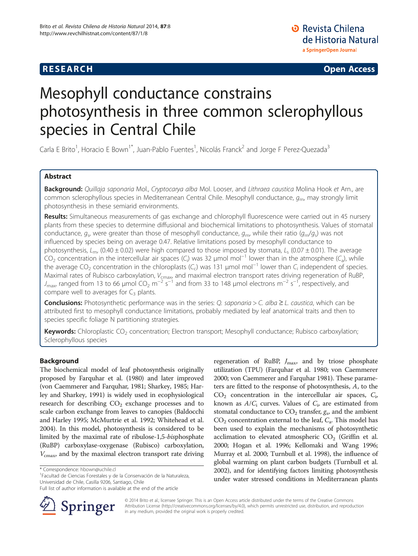# **RESEARCH CHE Open Access**

# Mesophyll conductance constrains photosynthesis in three common sclerophyllous species in Central Chile

Carla E Brito<sup>1</sup>, Horacio E Bown<sup>1\*</sup>, Juan-Pablo Fuentes<sup>1</sup>, Nicolás Franck<sup>2</sup> and Jorge F Perez-Quezada<sup>3</sup>

# Abstract

Background: Quillaja saponaria Mol., Cryptocarya alba Mol. Looser, and Lithraea caustica Molina Hook et Arn., are common sclerophyllous species in Mediterranean Central Chile. Mesophyll conductance,  $q<sub>m</sub>$ , may strongly limit photosynthesis in these semiarid environments.

Results: Simultaneous measurements of gas exchange and chlorophyll fluorescence were carried out in 45 nursery plants from these species to determine diffusional and biochemical limitations to photosynthesis. Values of stomatal conductance,  $g_s$ , were greater than those of mesophyll conductance,  $g_m$ , while their ratio  $(g_m/g_s)$  was not influenced by species being on average 0.47. Relative limitations posed by mesophyll conductance to photosynthesis,  $L_m$ , (0.40 ± 0.02) were high compared to those imposed by stomata,  $L_s$  (0.07 ± 0.01). The average  $CO_2$  concentration in the intercellular air spaces (C<sub>i</sub>) was 32 µmol mol<sup>-1</sup> lower than in the atmosphere (C<sub>a</sub>), while the average CO<sub>2</sub> concentration in the chloroplasts (C<sub>c</sub>) was 131 µmol mol<sup>-1</sup> lower than C<sub>i</sub> independent of species. Maximal rates of Rubisco carboxylation, V<sub>cmax</sub>, and maximal electron transport rates driving regeneration of RuBP,  $J_{\text{max}}$  ranged from 13 to 66 µmol CO<sub>2</sub> m<sup>-2</sup> s<sup>-1</sup> and from 33 to 148 µmol electrons m<sup>-2</sup> s<sup>-1</sup>, respectively, and compare well to averages for  $C_3$  plants.

**Conclusions:** Photosynthetic performance was in the series: Q. saponaria > C. alba  $\geq$  L. caustica, which can be attributed first to mesophyll conductance limitations, probably mediated by leaf anatomical traits and then to species specific foliage N partitioning strategies.

Keywords: Chloroplastic CO<sub>2</sub> concentration; Electron transport; Mesophyll conductance; Rubisco carboxylation; Sclerophyllous species

# Background

The biochemical model of leaf photosynthesis originally proposed by Farquhar et al. ([1980](#page-10-0)) and later improved (von Caemmerer and Farquhar, [1981;](#page-11-0) Sharkey, [1985;](#page-11-0) Harley and Sharkey, [1991](#page-10-0)) is widely used in ecophysiological research for describing  $CO<sub>2</sub>$  exchange processes and to scale carbon exchange from leaves to canopies (Baldocchi and Harley [1995;](#page-10-0) McMurtrie et al. [1992;](#page-11-0) Whitehead et al. [2004\)](#page-11-0). In this model, photosynthesis is considered to be limited by the maximal rate of ribulose-1,5-bisphosphate (RuBP) carboxylase-oxygenase (Rubisco) carboxylation,  $V_{\text{cmax}}$ , and by the maximal electron transport rate driving

<sup>1</sup>Facultad de Ciencias Forestales y de la Conservación de la Naturaleza, Universidad de Chile, Casilla 9206, Santiago, Chile

Full list of author information is available at the end of the article



regeneration of RuBP,  $J_{\text{max}}$ , and by triose phosphate utilization (TPU) (Farquhar et al. [1980](#page-10-0); von Caemmerer [2000](#page-11-0); von Caemmerer and Farquhar [1981](#page-11-0)). These parameters are fitted to the response of photosynthesis, A, to the  $CO<sub>2</sub>$  concentration in the intercellular air spaces,  $C<sub>i</sub>$ , known as  $A/C_i$  curves. Values of  $C_i$ , are estimated from stomatal conductance to  $CO<sub>2</sub>$  transfer,  $g<sub>s</sub>$ , and the ambient  $CO<sub>2</sub>$  concentration external to the leaf,  $C<sub>a</sub>$ . This model has been used to explain the mechanisms of photosynthetic acclimation to elevated atmospheric  $CO<sub>2</sub>$  (Griffin et al. [2000](#page-10-0); Hogan et al. [1996](#page-11-0); Kellomaki and Wang [1996](#page-11-0); Murray et al. [2000](#page-11-0); Turnbull et al. [1998\)](#page-11-0), the influence of global warming on plant carbon budgets (Turnbull et al. [2002](#page-11-0)), and for identifying factors limiting photosynthesis under water stressed conditions in Mediterranean plants

© 2014 Brito et al.; licensee Springer. This is an Open Access article distributed under the terms of the Creative Commons Attribution License [\(http://creativecommons.org/licenses/by/4.0\)](http://creativecommons.org/licenses/by/4.0), which permits unrestricted use, distribution, and reproduction in any medium, provided the original work is properly credited.

<sup>\*</sup> Correspondence: [hbown@uchile.cl](mailto:hbown@uchile.cl) <sup>1</sup>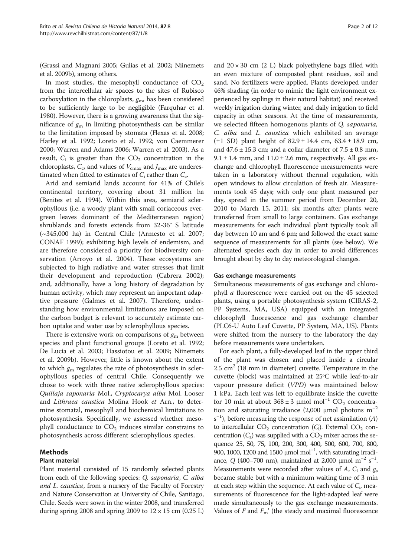(Grassi and Magnani [2005](#page-10-0); Gulias et al. [2002](#page-10-0); Niinemets et al. [2009b\)](#page-11-0), among others.

In most studies, the mesophyll conductance of  $CO<sub>2</sub>$ from the intercellular air spaces to the sites of Rubisco carboxylation in the chloroplasts,  $g<sub>m</sub>$ , has been considered to be sufficiently large to be negligible (Farquhar et al. [1980\)](#page-10-0). However, there is a growing awareness that the significance of  $g_m$  in limiting photosynthesis can be similar to the limitation imposed by stomata (Flexas et al. [2008](#page-10-0); Harley et al. [1992](#page-10-0); Loreto et al. [1992;](#page-11-0) von Caemmerer [2000;](#page-11-0) Warren and Adams [2006](#page-11-0); Warren et al. [2003](#page-11-0)). As a result,  $C_i$  is greater than the  $CO_2$  concentration in the chloroplasts,  $C_c$ , and values of  $V_{\text{cmax}}$  and  $J_{\text{max}}$  are underestimated when fitted to estimates of  $C_i$  rather than  $C_c$ .

Arid and semiarid lands account for 41% of Chile's continental territory, covering about 31 million ha (Benites et al. [1994\)](#page-10-0). Within this area, semiarid sclerophyllous (i.e. a woody plant with small coriaceous evergreen leaves dominant of the Mediterranean region) shrublands and forests extends from 32-36° S latitude (~345,000 ha) in Central Chile (Armesto et al. [2007](#page-10-0); CONAF [1999\)](#page-10-0); exhibiting high levels of endemism, and are therefore considered a priority for biodiversity conservation (Arroyo et al. [2004\)](#page-10-0). These ecosystems are subjected to high radiative and water stresses that limit their development and reproduction (Cabrera [2002](#page-10-0)); and, additionally, have a long history of degradation by human activity, which may represent an important adaptive pressure (Galmes et al. [2007](#page-10-0)). Therefore, understanding how environmental limitations are imposed on the carbon budget is relevant to accurately estimate carbon uptake and water use by sclerophyllous species.

There is extensive work on comparisons of  $g<sub>m</sub>$  between species and plant functional groups (Loreto et al. [1992](#page-11-0); De Lucia et al. [2003;](#page-10-0) Hassiotou et al. [2009;](#page-10-0) Niinemets et al. [2009b\)](#page-11-0). However, little is known about the extent to which  $g_m$  regulates the rate of photosynthesis in sclerophyllous species of central Chile. Consequently we chose to work with three native sclerophyllous species: Quillaja saponaria Mol., Cryptocarya alba Mol. Looser and Lithraea caustica Molina Hook et Arn., to determine stomatal, mesophyll and biochemical limitations to photosynthesis. Specifically, we assessed whether mesophyll conductance to  $CO<sub>2</sub>$  induces similar constrains to photosynthesis across different sclerophyllous species.

# Methods

## Plant material

Plant material consisted of 15 randomly selected plants from each of the following species: Q. saponaria, C. alba and L. caustica, from a nursery of the Faculty of Forestry and Nature Conservation at University of Chile, Santiago, Chile. Seeds were sown in the winter 2008, and transferred during spring 2008 and spring 2009 to  $12 \times 15$  cm (0.25 L)

and  $20 \times 30$  cm (2 L) black polyethylene bags filled with an even mixture of composted plant residues, soil and sand. No fertilizers were applied. Plants developed under 46% shading (in order to mimic the light environment experienced by saplings in their natural habitat) and received weekly irrigation during winter, and daily irrigation to field capacity in other seasons. At the time of measurements, we selected fifteen homogenous plants of Q. saponaria, C. alba and L. caustica which exhibited an average (±1 SD) plant height of 82.9 ± 14.4 cm, 63.4 ± 18.9 cm, and  $47.6 \pm 15.3$  cm; and a collar diameter of  $7.5 \pm 0.8$  mm, 9.1  $\pm$  1.4 mm, and 11.0  $\pm$  2.6 mm, respectively. All gas exchange and chlorophyll fluorescence measurements were taken in a laboratory without thermal regulation, with open windows to allow circulation of fresh air. Measurements took 45 days; with only one plant measured per day, spread in the summer period from December 20, 2010 to March 15, 2011; six months after plants were transferred from small to large containers. Gas exchange measurements for each individual plant typically took all day between 10 am and 6 pm; and followed the exact same sequence of measurements for all plants (see below). We alternated species each day in order to avoid differences brought about by day to day meteorological changes.

#### Gas exchange measurements

Simultaneous measurements of gas exchange and chlorophyll a fluorescence were carried out on the 45 selected plants, using a portable photosynthesis system (CIRAS-2, PP Systems, MA, USA) equipped with an integrated chlorophyll fluorescence and gas exchange chamber (PLC6-U Auto Leaf Cuvette, PP System, MA, US). Plants were shifted from the nursery to the laboratory the day before measurements were undertaken.

For each plant, a fully-developed leaf in the upper third of the plant was chosen and placed inside a circular  $2.5 \text{ cm}^2$  (18 mm in diameter) cuvette. Temperature in the cuvette (block) was maintained at 25ºC while leaf-to-air vapour pressure deficit (VPD) was maintained below 1 kPa. Each leaf was left to equilibrate inside the cuvette for 10 min at about  $368 \pm 3$  µmol mol<sup>-1</sup> CO<sub>2</sub> concentration and saturating irradiance (2,000 µmol photons  $m^{-2}$ s<sup>-1</sup>), before measuring the response of net assimilation (A) to intercellular  $CO_2$  concentration  $(C_i)$ . External  $CO_2$  concentration  $(C_a)$  was supplied with a  $CO_2$  mixer across the sequence 25, 50, 75, 100, 200, 300, 400, 500, 600, 700, 800, 900, 1000, 1200 and 1500 µmol mol<sup>-1</sup>, with saturating irradiance, Q (400–700 nm), maintained at 2,000 µmol m<sup>-2</sup> s<sup>-1</sup>. Measurements were recorded after values of A,  $C_i$  and  $g_s$ became stable but with a minimum waiting time of 3 min at each step within the sequence. At each value of  $C_i$ , measurements of fluorescence for the light-adapted leaf were made simultaneously to the gas exchange measurements. Values of  $F$  and  $F_m$ ' (the steady and maximal fluorescence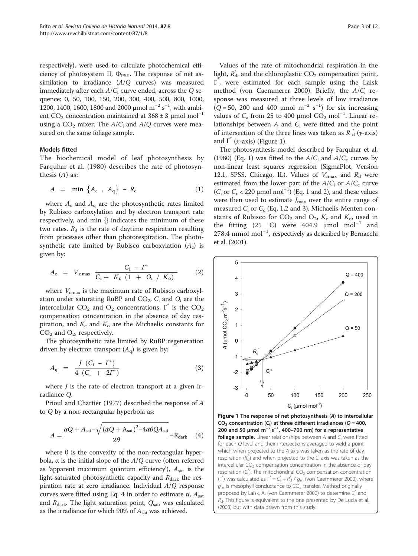respectively), were used to calculate photochemical efficiency of photosystem II,  $\Phi_{PSII}$ . The response of net assimilation to irradiance (A/Q curves) was measured immediately after each  $A/C_i$  curve ended, across the Q sequence: 0, 50, 100, 150, 200, 300, 400, 500, 800, 1000, 1200, 1400, 1600, 1800 and 2000 μmol m<sup>-2</sup> s<sup>-1</sup>, with ambient CO<sub>2</sub> concentration maintained at 368 ± 3 µmol mol<sup>-1</sup> using a  $CO_2$  mixer. The  $A/C_i$  and  $A/Q$  curves were measured on the same foliage sample.

#### Models fitted

The biochemical model of leaf photosynthesis by Farquhar et al. ([1980](#page-10-0)) describes the rate of photosynthesis  $(A)$  as:

$$
A = \min \left\{ A_c , A_q \right\} - R_d \tag{1}
$$

where  $A_c$  and  $A_q$  are the photosynthetic rates limited by Rubisco carboxylation and by electron transport rate respectively, and min {} indicates the minimum of these two rates.  $R_d$  is the rate of daytime respiration resulting from processes other than photorespiration. The photosynthetic rate limited by Rubisco carboxylation  $(A<sub>c</sub>)$  is given by:

$$
A_{\rm c} = V_{\rm cmax} \frac{C_{\rm i} - \Gamma^*}{C_{\rm i} + K_{\rm c} (1 + O_{\rm i} / K_{\rm o})}
$$
 (2)

where  $V_{\text{cmax}}$  is the maximum rate of Rubisco carboxylation under saturating RuBP and  $CO_2$ ,  $C_i$  and  $O_i$  are the intercellular  $CO_2$  and  $O_2$  concentrations,  $\overline{\Gamma}^*$  is the  $CO_2$ compensation concentration in the absence of day respiration, and  $K_c$  and  $K_o$  are the Michaelis constants for  $CO<sub>2</sub>$  and  $O<sub>2</sub>$ , respectively.

The photosynthetic rate limited by RuBP regeneration driven by electron transport  $(A_{\alpha})$  is given by:

$$
A_{\mathbf{q}} = \frac{J (C_{\mathbf{i}} - \Gamma^*)}{4 (C_{\mathbf{i}} + 2\Gamma^*)}
$$
 (3)

where  $J$  is the rate of electron transport at a given irradiance Q.

Prioul and Chartier ([1977](#page-11-0)) described the response of A to Q by a non-rectangular hyperbola as:

$$
A = \frac{\alpha Q + A_{\text{sat}} - \sqrt{(\alpha Q + A_{\text{sat}})^2 - 4\alpha \theta Q A_{\text{sat}}}}{2\theta} - R_{\text{dark}} \quad (4)
$$

where  $θ$  is the convexity of the non-rectangular hyperbola,  $\alpha$  is the initial slope of the  $A/Q$  curve (often referred as 'apparent maximum quantum efficiency'),  $A_{\text{sat}}$  is the light-saturated photosynthetic capacity and  $R_{\text{dark}}$  the respiration rate at zero irradiance. Individual A/Q response curves were fitted using Eq. 4 in order to estimate  $\alpha$ ,  $A_{\text{sat}}$ and  $R_{\text{dark}}$ . The light saturation point,  $Q_{\text{sat}}$ , was calculated as the irradiance for which 90% of  $A<sub>sat</sub>$  was achieved.

Values of the rate of mitochondrial respiration in the light,  $R_d^*$ , and the chloroplastic  $CO_2$  compensation point, Γ\* , were estimated for each sample using the Laisk method (von Caemmerer [2000\)](#page-11-0). Briefly, the  $A/C_i$  response was measured at three levels of low irradiance ( $Q = 50$ , 200 and 400 µmol m<sup>-2</sup> s<sup>-1</sup>) for six increasing values of  $C_a$  from 25 to 400 μmol  $CO_2$  mol<sup>-1</sup>. Linear relationships between  $A$  and  $C_i$  were fitted and the point of intersection of the three lines was taken as  $R_d^*$  (y-axis) and  $\Gamma^*$  (*x*-axis) (Figure 1).

The photosynthesis model described by Farquhar et al. ([1980](#page-10-0)) (Eq. 1) was fitted to the  $A/C_i$  and  $A/C_c$  curves by non-linear least squares regression (SigmaPlot, Version 12.1, SPSS, Chicago, IL). Values of  $V_{\text{cmax}}$  and  $R_{\text{d}}$  were estimated from the lower part of the  $A/C_i$  or  $A/C_c$  curve ( $C_i$  or  $C_c$  < 220 μmol mol<sup>-1</sup>) (Eq. 1 and 2), and these values were then used to estimate  $J_{\text{max}}$  over the entire range of measured  $C_i$  or  $C_c$  (Eq. 1,2 and 3). Michaelis-Menten constants of Rubisco for  $CO_2$  and  $O_2$ ,  $K_c$  and  $K_o$ , used in the fitting (25 °C) were 404.9  $\mu$ mol mol<sup>-1</sup> and 278.4 mmol mol−<sup>1</sup> , respectively as described by Bernacchi et al. [\(2001\)](#page-10-0).



Figure 1 The response of net photosynthesis (A) to intercellular  $CO<sub>2</sub>$  concentration (C<sub>i</sub>) at three different irradiances (Q = 400, 200 and 50 μmol  $m^{-2}$  s<sup>-1</sup>, 400-700 nm) for a representative **foliage sample.** Linear relationships between  $A$  and  $C_i$  were fitted for each Q level and their intersections averaged to yield a point which when projected to the A axis was taken as the rate of day respiration  $(R_d^*)$  and when projected to the  $C_i$  axis was taken as the intercellular  $CO<sub>2</sub>$  compensation concentration in the absence of day respiration  $(C_i^*)$ . The mitochondrial  $CO_2$  compensation concentration ( $\Gamma^*$ ) was calculated as  $\Gamma^* = C_i^* + R_d^* / g_m$  (von Caemmerer [2000](#page-11-0)), where  $q<sub>m</sub>$  is mesophyll conductance to  $CO<sub>2</sub>$  transfer. Method originally proposed by Laisk, A. (von Caemmerer [2000](#page-11-0)) to determine  $C_i^*$  and  $R<sub>d</sub>$ . This figure is equivalent to the one presented by De Lucia et al. ([2003](#page-10-0)) but with data drawn from this study.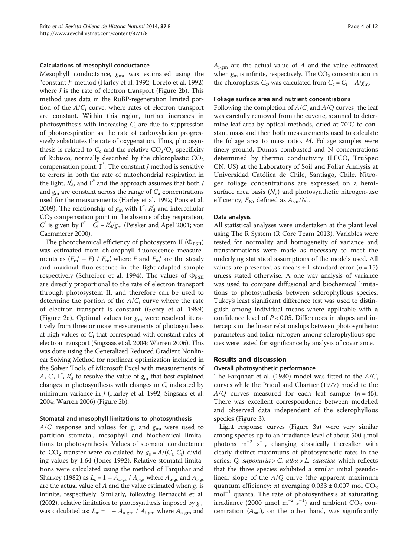#### Calculations of mesophyll conductance

Mesophyll conductance,  $g_m$ , was estimated using the "constant J" method (Harley et al. [1992;](#page-10-0) Loreto et al. [1992](#page-11-0)) where  $J$  is the rate of electron transport (Figure [2](#page-4-0)b). This method uses data in the RuBP-regeneration limited portion of the  $A/C_i$  curve, where rates of electron transport are constant. Within this region, further increases in photosynthesis with increasing  $C_i$  are due to suppression of photorespiration as the rate of carboxylation progressively substitutes the rate of oxygenation. Thus, photosynthesis is related to  $C_c$  and the relative  $CO<sub>2</sub>/O<sub>2</sub>$  specificity of Rubisco, normally described by the chloroplastic  $CO<sub>2</sub>$ compensation point, Γ\* . The constant J method is sensitive to errors in both the rate of mitochondrial respiration in the light,  $R_{\rm d}^*$ , and  $\Gamma^*$  and the approach assumes that both  $J$ and  $g<sub>m</sub>$  are constant across the range of  $C<sub>a</sub>$  concentrations used for the measurements (Harley et al. [1992;](#page-10-0) Pons et al. [2009\)](#page-11-0). The relationship of  $g<sub>m</sub>$  with  $\overline{\Gamma}^*, R_d^*$  and intercellular CO2 compensation point in the absence of day respiration,  $C_i^*$  is given by  $\Gamma^* = C_i^* + R_d^* / g_m$  (Peisker and Apel [2001;](#page-11-0) von Caemmerer [2000\)](#page-11-0).

The photochemical efficiency of photosystem II  $(\Phi_{PSII})$ was estimated from chlorophyll fluorescence measurements as  $(F_m' - F) / F_m'$ , where F and  $F_m'$  are the steady and maximal fluorescence in the light-adapted sample respectively (Schreiber et al. [1994\)](#page-11-0). The values of  $\Phi_{PSII}$ are directly proportional to the rate of electron transport through photosystem II, and therefore can be used to determine the portion of the  $A/C_i$  curve where the rate of electron transport is constant (Genty et al. [1989](#page-10-0)) (Figure [2](#page-4-0)a). Optimal values for  $g_m$  were resolved iteratively from three or more measurements of photosynthesis at high values of  $C_i$  that correspond with constant rates of electron transport (Singsaas et al. [2004;](#page-11-0) Warren [2006](#page-11-0)). This was done using the Generalized Reduced Gradient Nonlinear Solving Method for nonlinear optimization included in the Solver Tools of Microsoft Excel with measurements of A,  $C_p$ ,  $\overline{\Gamma}^*$ ,  $\overline{R}^*_d$  to resolve the value of  $g_m$  that best explained changes in photosynthesis with changes in  $C_i$  indicated by minimum variance in J (Harley et al. [1992;](#page-10-0) Singsaas et al. [2004;](#page-11-0) Warren [2006\)](#page-11-0) (Figure [2b](#page-4-0)).

#### Stomatal and mesophyll limitations to photosynthesis

 $A/C_i$  response and values for  $g_s$  and  $g_m$ , were used to partition stomatal, mesophyll and biochemical limitations to photosynthesis. Values of stomatal conductance to  $CO_2$  transfer were calculated by  $g_s = A/(C_a-C_i)$  dividing values by 1.64 (Jones [1992\)](#page-11-0). Relative stomatal limitations were calculated using the method of Farquhar and Sharkey [\(1982\)](#page-10-0) as  $L_s = 1 - A_{a-gs} / A_{i-gs}$  where  $A_{a-gs}$  and  $A_{i-gs}$ are the actual value of A and the value estimated when  $g_s$  is infinite, respectively. Similarly, following Bernacchi et al. ([2002\)](#page-10-0), relative limitation to photosynthesis imposed by  $g<sub>m</sub>$ was calculated as:  $L_m = 1 - A_{a\text{-gm}} / A_{i\text{-gm}}$  where  $A_{a\text{-gm}}$  and  $A_{i\text{-gm}}$  are the actual value of A and the value estimated when  $g_m$  is infinite, respectively. The  $CO_2$  concentration in the chloroplasts,  $C_c$ , was calculated from  $C_c = C_i - A/g_m$ .

#### Foliage surface area and nutrient concentrations

Following the completion of  $A/C<sub>i</sub>$  and  $A/Q$  curves, the leaf was carefully removed from the cuvette, scanned to determine leaf area by optical methods, dried at 70°C to constant mass and then both measurements used to calculate the foliage area to mass ratio,  $M$ . Foliage samples were finely ground, Dumas combusted and N concentrations determined by thermo conductivity (LECO, TruSpec CN, US) at the Laboratory of Soil and Foliar Analysis at Universidad Católica de Chile, Santiago, Chile. Nitrogen foliage concentrations are expressed on a hemisurface area basis  $(N_a)$  and photosynthetic nitrogen-use efficiency,  $E_N$ , defined as  $A_{\text{sat}}/N_a$ .

#### Data analysis

All statistical analyses were undertaken at the plant level using The R System (R Core Team [2013\)](#page-11-0). Variables were tested for normality and homogeneity of variance and transformations were made as necessary to meet the underlying statistical assumptions of the models used. All values are presented as means  $\pm 1$  standard error (*n* = 15) unless stated otherwise. A one way analysis of variance was used to compare diffusional and biochemical limitations to photosynthesis between sclerophyllous species. Tukey's least significant difference test was used to distinguish among individual means where applicable with a confidence level of  $P < 0.05$ . Differences in slopes and intercepts in the linear relationships between photosynthetic parameters and foliar nitrogen among sclerophyllous species were tested for significance by analysis of covariance.

## Results and discussion

#### Overall photosynthetic performance

The Farquhar et al. [\(1980\)](#page-10-0) model was fitted to the  $A/C_i$ curves while the Prioul and Chartier [\(1977\)](#page-11-0) model to the  $A/Q$  curves measured for each leaf sample (*n* = 45). There was excellent correspondence between modelled and observed data independent of the sclerophyllous species (Figure [3](#page-5-0)).

Light response curves (Figure [3a](#page-5-0)) were very similar among species up to an irradiance level of about 500 μmol photons m<sup>-2</sup> s<sup>-1</sup>, changing drastically thereafter with clearly distinct maximums of photosynthetic rates in the series: Q. saponaria > C. alba > L. caustica which reflects that the three species exhibited a similar initial pseudolinear slope of the  $A/Q$  curve (the apparent maximum quantum efficiency: α) averaging  $0.033 \pm 0.007$  mol CO<sub>2</sub> mol<sup>-1</sup> quanta. The rate of photosynthesis at saturating irradiance (2000 µmol m<sup>-2</sup> s<sup>-1</sup>) and ambient CO<sub>2</sub> concentration  $(A_{sat})$ , on the other hand, was significantly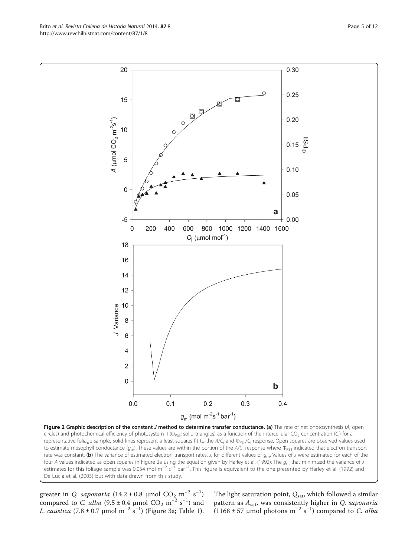<span id="page-4-0"></span>Brito et al. Revista Chilena de Historia Natural 2014, 87:8 Page 5 of 12 http://www.revchilhistnat.com/content/87/1/8



greater in *Q. saponaria* (14.2 ± 0.8 µmol  $CO_2$  m<sup>-2</sup> s<sup>-1</sup>) compared to *C. alba* (9.5 ± 0.4 µmol  $CO_2$  m<sup>-2</sup> s<sup>-1</sup>) and L. caustica (7.8 ± 0.7 μmol m<sup>-2</sup> s<sup>-1</sup>) (Figure [3a](#page-5-0); Table [1](#page-6-0)). The light saturation point,  $Q_{\text{sat}}$ , which followed a similar pattern as  $A_{\text{sat}}$ , was consistently higher in Q. saponaria (1168 ± 57 μmol photons m<sup>-2</sup> s<sup>-1</sup>) compared to *C. alba*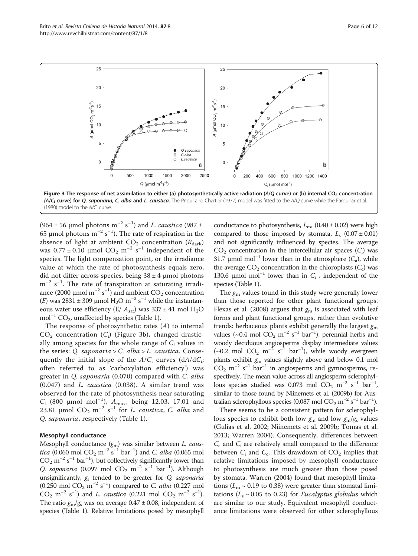<span id="page-5-0"></span>Brito et al. Revista Chilena de Historia Natural 2014, 87:8 Page 6 of 12 http://www.revchilhistnat.com/content/87/1/8



([1980\)](#page-10-0) model to the  $A/C<sub>i</sub>$  curve.

(964 ± 56 µmol photons m<sup>-2</sup> s<sup>-1</sup>) and *L. caustica* (987 ± 65 μmol photons m<sup>-2</sup> s<sup>-1</sup>). The rate of respiration in the absence of light at ambient  $CO_2$  concentration ( $R_{\text{dark}}$ ) was  $0.77 \pm 0.10$  μmol  $CO_2$  m<sup>-2</sup> s<sup>-1</sup> independent of the species. The light compensation point, or the irradiance value at which the rate of photosynthesis equals zero, did not differ across species, being  $38 \pm 4$  µmol photons m<sup>-2</sup> s<sup>-1</sup>. The rate of transpiration at saturating irradiance (2000 µmol m<sup>-2</sup> s<sup>-1</sup>) and ambient  $CO_2$  concentration (*E*) was 2831 ± 309 µmol  $H_2O$  m<sup>-2</sup> s<sup>-1</sup> while the instantaneous water use efficiency (E/  $A_{sat}$ ) was 337 ± 41 mol H<sub>2</sub>O mol<sup>-1</sup> CO<sub>2</sub>, unaffected by species (Table [1](#page-6-0)).

The response of photosynthetic rates (A) to internal  $CO<sub>2</sub>$  concentration ( $C<sub>i</sub>$ ) (Figure 3b), changed drastically among species for the whole range of  $C_i$  values in the series: Q. saponaria > C. alba > L. caustica. Consequently the initial slope of the  $A/C_i$  curves  $(dA/dC_i;$ often referred to as 'carboxylation efficiency') was greater in Q. saponaria (0.070) compared with C. alba (0.047) and L. caustica (0.038). A similar trend was observed for the rate of photosynthesis near saturating  $C_i$  (800 μmol mol<sup>-1</sup>),  $A_{max}$ , being 12.03, 17.01 and 23.81 μmol  $CO_2$  m<sup>-2</sup> s<sup>-1</sup> for *L. caustica*, *C. alba* and Q. saponaria, respectively (Table [1](#page-6-0)).

#### Mesophyll conductance

Mesophyll conductance  $(g_\mathrm{m})$  was similar between *L. caustica* (0.060 mol  $CO_2$  m<sup>-2</sup> s<sup>-1</sup> bar<sup>-1</sup>) and *C. alba* (0.065 mol  $CO_2$  m<sup>-2</sup> s<sup>-1</sup> bar<sup>-1</sup>), but collectively significantly lower than Q. saponaria (0.097 mol  $CO_2$  m<sup>-2</sup> s<sup>-1</sup> bar<sup>-1</sup>). Although unsignificantly,  $g_s$  tended to be greater for Q. saponaria (0.250 mol  $CO_2$  m<sup>-2</sup> s<sup>-1</sup>) compared to *C. alba* (0.227 mol CO<sub>2</sub> m<sup>-2</sup> s<sup>-1</sup>) and *L. caustica* (0.221 mol CO<sub>2</sub> m<sup>-2</sup> s<sup>-1</sup>). The ratio  $g_m/g_s$  was on average 0.47 ± 0.08, independent of species (Table [1](#page-6-0)). Relative limitations posed by mesophyll conductance to photosynthesis,  $L_{\text{m}}$ , (0.40 ± 0.02) were high compared to those imposed by stomata,  $L_s$  (0.07 ± 0.01) and not significantly influenced by species. The average  $CO<sub>2</sub>$  concentration in the intercellular air spaces  $(C<sub>i</sub>)$  was 31.7 μmol mol<sup>-1</sup> lower than in the atmosphere  $(C_1)$ , while the average  $CO<sub>2</sub>$  concentration in the chloroplasts  $(C<sub>c</sub>)$  was 130.6 μmol mol<sup>-1</sup> lower than in  $C_i$ , independent of the species (Table [1\)](#page-6-0).

The  $g_m$  values found in this study were generally lower than those reported for other plant functional groups. Flexas et al. ([2008\)](#page-10-0) argues that  $g_m$  is associated with leaf forms and plant functional groups, rather than evolutive trends: herbaceous plants exhibit generally the largest  $g<sub>m</sub>$ values (~0.4 mol  $CO_2$  m<sup>-2</sup> s<sup>-1</sup> bar<sup>-1</sup>), perennial herbs and woody deciduous angiosperms display intermediate values  $(\sim 0.2 \text{ mol } CO_2 \text{ m}^{-2} \text{ s}^{-1} \text{ bar}^{-1})$ , while woody evergreen plants exhibit  $g_m$  values slightly above and below 0.1 mol  $CO<sub>2</sub>$  m<sup>-2</sup> s<sup>-1</sup> bar<sup>-1</sup> in angiosperms and gymnosperms, respectively. The mean value across all angiosperm sclerophyllous species studied was 0.073 mol  $CO_2$  m<sup>-2</sup> s<sup>-1</sup> bar<sup>-1</sup>, similar to those found by Niinemets et al. ([2009b\)](#page-11-0) for Australian sclerophyllous species (0.087 mol  $CO_2$  m<sup>-2</sup> s<sup>-1</sup> bar<sup>-1</sup>).

There seems to be a consistent pattern for sclerophyllous species to exhibit both low  $g_m$  and low  $g_m/g_s$  values (Gulias et al. [2002;](#page-10-0) Niinemets et al. [2009b;](#page-11-0) Tomas et al. [2013](#page-11-0); Warren [2004\)](#page-11-0). Consequently, differences between  $C_{\rm a}$  and  $C_{\rm i}$  are relatively small compared to the difference between  $C_i$  and  $C_c$ . This drawdown of  $CO_2$  implies that relative limitations imposed by mesophyll conductance to photosynthesis are much greater than those posed by stomata. Warren ([2004](#page-11-0)) found that mesophyll limitations ( $L_m \sim 0.19$  to 0.38) were greater than stomatal limitations ( $L_s \sim 0.05$  to 0.23) for *Eucalyptus globulus* which are similar to our study. Equivalent mesophyll conductance limitations were observed for other sclerophyllous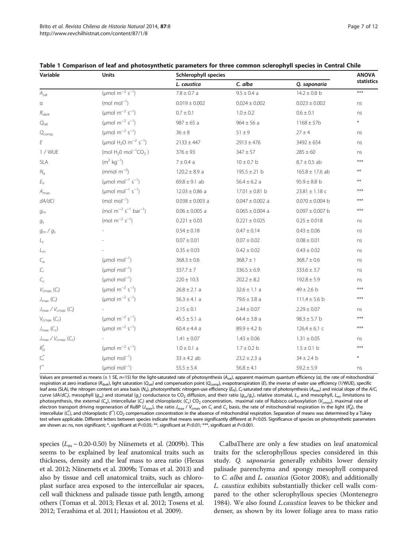| Variable                                               | Units                                                    | Schlerophyll species |                     |                     | <b>ANOVA</b> |
|--------------------------------------------------------|----------------------------------------------------------|----------------------|---------------------|---------------------|--------------|
|                                                        |                                                          | L. caustica          | C. alba             | Q. saponaria        | statistics   |
| $A_{sat}$                                              | (µmol m <sup>-2</sup> s <sup>-1</sup> )                  | $7.8 \pm 0.7$ a      | $9.5 \pm 0.4$ a     | $14.2 \pm 0.8$ b    | $***$        |
| α                                                      | $(mod mol-1)$                                            | $0.019 \pm 0.002$    | $0.024 \pm 0.002$   | $0.023 \pm 0.002$   | ns           |
| $R_{\text{dark}}$                                      | (µmol $m^{-2} s^{-1}$ )                                  | $0.7 \pm 0.1$        | $1.0 \pm 0.2$       | $0.6 \pm 0.1$       | ns           |
| $Q_{\text{sat}}$                                       | (µmol m <sup>-2</sup> s <sup>-1</sup> )                  | $987 \pm 65$ a       | $964 \pm 56$ a      | $1168 \pm 57b$      | $\ast$       |
| $Q_{comp}$                                             | ( $\mu$ mol m <sup>-2</sup> s <sup>-1</sup> )            | $36 \pm 8$           | $51 \pm 9$          | $27 \pm 4$          | ns           |
| E                                                      | (umol $H_2O$ m <sup>-2</sup> s <sup>-1</sup> )           | $2133 \pm 447$       | $2913 \pm 476$      | $3492 \pm 654$      | ns           |
| 1 / WUE                                                | (mol $H_20$ mol <sup>-1</sup> CO <sub>2</sub> )          | $376 \pm 93$         | $347 + 57$          | $285 \pm 60$        | ns           |
| <b>SLA</b>                                             | $(m^2 \text{ kg}^{-1})$                                  | $7 \pm 0.4$ a        | $10 \pm 0.7$ b      | $8.7 \pm 0.5$ ab    | ***          |
| $N_{\rm a}$                                            | (mmol $m^{-2}$ )                                         | $120.2 \pm 8.9$ a    | $195.5 \pm 21$ b    | $165.8 \pm 17.6$ ab | $**$         |
| $E_{\rm n}$                                            | ( $\mu$ mol mol <sup>-1</sup> s <sup>-1</sup> )          | $69.8 \pm 9.1$ ab    | $56.4 \pm 6.2 a$    | $95.9 \pm 8.8$ b    | $**$         |
| $A_{\sf max}$                                          | ( $\mu$ mol mol <sup>-1</sup> s <sup>-1</sup> )          | $12.03 \pm 0.86$ a   | $17.01 \pm 0.81$ b  | $23.81 \pm 1.18$ c  | $***$        |
| dA/dCi                                                 | $(mod mol-1)$                                            | $0.038 \pm 0.003$ a  | $0.047 \pm 0.002$ a | $0.070 \pm 0.004$ b | $***$        |
| $g_{m}$                                                | (mol m <sup>-2</sup> s <sup>-1</sup> bar <sup>-1</sup> ) | $0.06 \pm 0.005$ a   | $0.065 \pm 0.004$ a | $0.097 \pm 0.007$ b | $***$        |
| $g_{\rm s}$                                            | (mol $m^{-2} s^{-1}$ )                                   | $0.221 \pm 0.03$     | $0.221 \pm 0.025$   | $0.25 \pm 0.018$    | ns           |
| $g_m/g_s$                                              |                                                          | $0.54 \pm 0.18$      | $0.47 \pm 0.14$     | $0.43 \pm 0.06$     | ns           |
| $L_{\rm s}$                                            |                                                          | $0.07 \pm 0.01$      | $0.07 \pm 0.02$     | $0.08 \pm 0.01$     | ns           |
| $L_{m}$                                                |                                                          | $0.35 \pm 0.03$      | $0.42 \pm 0.02$     | $0.43\pm0.02$       | ns           |
| $C_{\rm a}$                                            | ( $\mu$ mol mol <sup>-1</sup> )                          | $368.3 \pm 0.6$      | $368.7 \pm 1$       | $368.7 \pm 0.6$     | ns           |
| $C_{i}$                                                | ( $\mu$ mol mol <sup>-1</sup> )                          | $337.7 \pm 7$        | $336.5 \pm 6.9$     | $333.6 \pm 3.7$     | ns           |
| $C_{\rm c}$                                            | ( $\mu$ mol mol <sup>-1</sup> )                          | $220 \pm 10.3$       | $202.2 \pm 8.2$     | $192.8 \pm 5.9$     | ns           |
| $V_{\text{cmax}}(C_i)$                                 | ( $\mu$ mol m <sup>-2</sup> s <sup>-1</sup> )            | $26.8 \pm 2.1$ a     | $32.6 \pm 1.1$ a    | $49 \pm 2.6$ b      | $***$        |
| $J_{\sf max}$ (C <sub>i</sub> )                        | ( $\mu$ mol m <sup>-2</sup> s <sup>-1</sup> )            | $56.3 \pm 4.1$ a     | $79.6 \pm 3.8$ a    | $111.4 \pm 5.6$ b   | ***          |
| $J_{\text{max}}$ / $V_{\text{cmax}}$ (C <sub>i</sub> ) |                                                          | $2.15 \pm 0.1$       | $2.44 \pm 0.07$     | $2.29 \pm 0.07$     | ns           |
| $V_{\text{cmax}}(C_c)$                                 | (µmol m <sup>-2</sup> s <sup>-1</sup> )                  | $45.5 \pm 5.1$ a     | $64.4 \pm 3.8$ a    | $98.3 \pm 5.7$ b    | ***          |
| $J_{\text{max}}(C_{c})$                                | ( $\mu$ mol m <sup>-2</sup> s <sup>-1</sup> )            | $60.4 \pm 4.4$ a     | $89.9 \pm 4.2$ b    | $126.4 \pm 6.1$ C   | ***          |
| $J_{\text{max}}$ / $V_{\text{cmax}}$ (C <sub>c</sub> ) |                                                          | $1.41 \pm 0.07$      | $1.43 \pm 0.06$     | $1.31 \pm 0.05$     | ns           |
| $R_{\rm d}^*$                                          | (µmol m <sup>-2</sup> s <sup>-1</sup> )                  | $1.0 \pm 0.1$ a      | $1.7 \pm 0.2$ b     | $1.5 \pm 0.1$ b     | ***          |
| $C_i^\ast$                                             | ( $\mu$ mol mol <sup>-1</sup> )                          | $33 \pm 4.2$ ab      | $23.2 \pm 2.3$ a    | $34 \pm 2.4$ b      | $\ast$       |
| $\overline{\Gamma}^*$                                  | ( $\mu$ mol mol <sup>-1</sup> )                          | $55.5 \pm 5.4$       | $56.8 \pm 4.1$      | $59.2 \pm 5.9$      | ns           |

<span id="page-6-0"></span>

|  |  | Table 1 Comparison of leaf and photosynthetic parameters for three common sclerophyll species in Central Chile |  |
|--|--|----------------------------------------------------------------------------------------------------------------|--|
|--|--|----------------------------------------------------------------------------------------------------------------|--|

Values are presented as means ( $\pm$  1 SE, n=15) for the light-saturated rate of photosynthesis (A<sub>sat</sub>), apparent maximum quantum efficiency (α), the rate of mitochondrial respiration at zero irradiance (R<sub>dark</sub>), light saturation (Q<sub>sat</sub>) and compensation point (Q<sub>comp</sub>), evapotranspiration (E), the inverse of water use efficiency (1/WUE), specific leaf area (SLA), the nitrogen content on area basis (N<sub>a</sub>), photosynthetic nitrogen-use efficiency (E<sub>N</sub>), C<sub>i</sub>-saturated rate of photosynthesis (A<sub>max</sub>) and inicial slope of the A/C curve (dA/dC<sub>i</sub>), mesophyll (g<sub>m</sub>) and stomatal (g<sub>s</sub>) conductance to CO<sub>2</sub> diffusion, and their ratio (g<sub>m</sub>/g<sub>s</sub>), relative stomatal, L<sub>s</sub>, and mesophyll, L<sub>m</sub>, limitations to photosynthesis, the external (C<sub>a</sub>), intercellular (C<sub>i</sub>) and chloroplastic (C<sub>c</sub>) CO<sub>2</sub> concentration, maximal rate of Rubisco carboxylation (V<sub>cmax</sub>), maximal rate of electron transport driving regeneration of RuBP ( $J_{\rm max}$ ), the ratio  $J_{\rm max}/V_{\rm cmax}$  on C<sub>i</sub> and C<sub>c</sub> basis, the rate of mitochondrial respiration in the light ( $R_{\rm d}$ ), the intercellular ( $\zeta_1^*$ ), and chloroplastic (Γ<sup>\*</sup>) CO<sub>2</sub> compensation concentration in the absence of mitochondrial respiration. Separation of means was determined by a Tukey test where applicable. Different letters between species indicate that means were significantly different at P<0.05. Significance of species on photosynthetic parameters are shown as: ns, non significant; \*, significant at P<0.05; \*\*, significant at P<0.01; \*\*\*, significant at P<0.001.

species ( $L_m \sim 0.20$ -0.50) by Niinemets et al. ([2009b](#page-11-0)). This seems to be explained by leaf anatomical traits such as thickness, density and the leaf mass to area ratio (Flexas et al. [2012;](#page-10-0) Niinemets et al. [2009b](#page-11-0); Tomas et al. [2013\)](#page-11-0) and also by tissue and cell anatomical traits, such as chloroplast surface area exposed to the intercellular air spaces, cell wall thickness and palisade tissue path length, among others (Tomas et al. [2013](#page-11-0); Flexas et al. [2012;](#page-10-0) Tosens et al. [2012;](#page-11-0) Terashima et al. [2011;](#page-11-0) Hassiotou et al. [2009\)](#page-10-0).

C.albaThere are only a few studies on leaf anatomical traits for the sclerophyllous species considered in this study. Q. *saponaria* generally exhibits lower density palisade parenchyma and spongy mesophyll compared to C. alba and L. caustica (Gotor [2008](#page-10-0)); and additionally L. caustica exhibits substantially thicker cell walls compared to the other sclerophyllous species (Montenegro [1984](#page-11-0)). We also found *L.caustica* leaves to be thicker and denser, as shown by its lower foliage area to mass ratio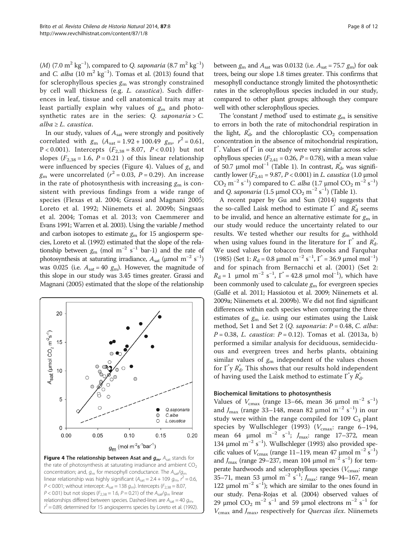(M) (7.0  $\text{m}^2 \text{ kg}^{-1}$ ), compared to Q. saponaria (8.7  $\text{m}^2 \text{ kg}^{-1}$ ) and C. alba  $(10 \text{ m}^2 \text{ kg}^{-1})$ . Tomas et al. [\(2013\)](#page-11-0) found that for sclerophyllous species  $g_m$  was strongly constrained by cell wall thickness (e.g. L. caustica). Such differences in leaf, tissue and cell anatomical traits may at least partially explain why values of  $g_m$  and photosynthetic rates are in the series:  $Q$ . saponaria >  $C$ .  $alba \geq L.$  caustica.

In our study, values of  $A_{\text{sat}}$  were strongly and positively correlated with  $g_m$  ( $A_{\text{sat}} = 1.92 + 100.49$   $g_m$ ,  $r^2 = 0.61$ , P < 0.001). Intercepts  $(F_{2,38} = 8.07, P < 0.01)$  but not slopes ( $F_{2,38} = 1.6$ ,  $P = 0.21$ ) of this linear relationship were influenced by species (Figure 4). Values of  $g_s$  and  $g_{\rm m}$  were uncorrelated ( $r^2$  = 0.03, P = 0.29). An increase in the rate of photosynthesis with increasing  $g_m$  is consistent with previous findings from a wide range of species (Flexas et al. [2004](#page-10-0); Grassi and Magnani [2005](#page-10-0); Loreto et al. [1992](#page-11-0); Niinemets et al. [2009b;](#page-11-0) Singsaas et al. [2004](#page-11-0); Tomas et al. [2013](#page-11-0); von Caemmerer and Evans [1991](#page-11-0); Warren et al. [2003](#page-11-0)). Using the variable J method and carbon isotopes to estimate  $g<sub>m</sub>$  for 15 angiosperm species, Loreto et al. [\(1992\)](#page-11-0) estimated that the slope of the relationship between  $g_m$  (mol m<sup>-2</sup> s<sup>-1</sup> bar-1) and the rate of photosynthesis at saturating irradiance,  $A_{\text{sat}}$  (µmol m<sup>-2</sup> s<sup>-1</sup>) was 0.025 (i.e.  $A_{\text{sat}} = 40 \text{ g}_{\text{m}}$ ). However, the magnitude of this slope in our study was 3.45 times greater. Grassi and Magnani [\(2005](#page-10-0)) estimated that the slope of the relationship



concentration; and,  $g_m$  for mesophyll conductance. The  $A_{sat}/g_m$ linear relationship was highly significant ( $A_{\text{sat}} = 2.4 + 109 g_{\text{m}}$ ,  $r^2 = 0.6$ ,  $P < 0.001$ ; without intercept:  $A<sub>sat</sub> = 138 g<sub>m</sub>$ ). Intercepts ( $F<sub>2,38</sub> = 8.07$ ,  $P < 0.01$ ) but not slopes ( $F_{2,38} = 1.6$ ,  $P = 0.21$ ) of the  $A_{sat}/g_m$  linear relationships differed between species. Dashed-lines are  $A_{sat} = 40 g_{\text{m}}$  $r^2$  = 0.89, determined for 15 angiosperms species by Loreto et al. ([1992](#page-11-0)).

between  $g_m$  and  $A_{sat}$  was 0.0132 (i.e.  $A_{sat}$  = 75.7  $g_m$ ) for oak trees, being our slope 1.8 times greater. This confirms that mesophyll conductance strongly limited the photosynthetic rates in the sclerophyllous species included in our study, compared to other plant groups; although they compare well with other sclerophyllous species.

The 'constant *J* method' used to estimate  $g_m$  is sensitive to errors in both the rate of mitochondrial respiration in the light,  $R_d^*$  and the chloroplastic  $CO_2$  compensation concentration in the absence of mitochondrial respiration, Γ\* . Values of Γ\* in our study were very similar across sclerophyllous species ( $F_{2,41}$  = 0.26, P = 0.78), with a mean value of 50.7 μmol mol<sup>-1</sup> (Table [1\)](#page-6-0). In contrast,  $R_d^*$ , was significantly lower ( $F_{2,41}$  = 9.87,  $P < 0.001$ ) in *L. caustica* (1.0 µmol  $CO_2$  m<sup>-2</sup> s<sup>-1</sup>) compared to *C. alba* (1.7 μmol  $CO_2$  m<sup>-2</sup> s<sup>-1</sup>) and *Q. saponaria* (1.5 µmol  $CO_2$  m<sup>-2</sup> s<sup>-1</sup>) (Table [1](#page-6-0)).

A recent paper by Gu and Sun ([2014](#page-10-0)) suggests that the so-called Laisk method to estimate  $\Gamma^*$  and  $\overline{R}^*_{\text{d}}$  seems to be invalid, and hence an alternative estimate for  $g_m$  in our study would reduce the uncertainty related to our results. We tested whether our results for  $g<sub>m</sub>$  withhold when using values found in the literature for  $\Gamma^*$  and  $R_d^*$ . We used values for tobacco from Brooks and Farquhar ([1985](#page-10-0)) (Set 1:  $R_d = 0.8 \mu$ mol m<sup>-2</sup> s<sup>-1</sup>, I<sup>\*</sup> = 36.9  $\mu$ mol mol<sup>-1</sup>) and for spinach from Bernacchi et al. ([2001](#page-10-0)) (Set 2:  $R_d = 1$  µmol m<sup>-2</sup> s<sup>-1</sup>,  $\Gamma^* = 42.8$  µmol mol<sup>-1</sup>), which have been commonly used to calculate  $g<sub>m</sub>$  for evergreen species (Gallé et al. [2011](#page-10-0); Hassiotou et al. [2009;](#page-10-0) Niinemets et al. [2009a](#page-11-0); Niinemets et al. [2009b\)](#page-11-0). We did not find significant differences within each species when comparing the three estimates of  $g_m$  i.e. using our estimates using the Laisk method, Set 1 and Set 2 (Q. saponaria:  $P = 0.48$ , C. alba:  $P = 0.38$ , L. caustica:  $P = 0.12$ ). Tomas et al. [\(2013a, b](#page-11-0)) performed a similar analysis for deciduous, semideciduous and evergreen trees and herbs plants, obtaining similar values of  $g_m$  independent of the values chosen for  $\Gamma$ <sup>\*</sup>y  $R_d^*$ . This shows that our results hold independent of having used the Laisk method to estimate  $\int r^* y R_d$ .

#### Biochemical limitations to photosynthesis

Values of  $V_{\text{cmax}}$  (range 13–66, mean 36 µmol m<sup>-2</sup> s<sup>-1</sup>) and  $J_{\text{max}}$  (range 33–148, mean 82 µmol m<sup>-2</sup> s<sup>-1</sup>) in our study were within the range compiled for 109  $C_3$  plant species by Wullschleger ([1993\)](#page-11-0) ( $V_{\text{cmax}}$ : range 6–194, mean 64 µmol m<sup>-2</sup> s<sup>-1</sup>; J<sub>max</sub>: range 17–372, mean 134 μmol m<sup>-2</sup> s<sup>-1</sup>). Wullschleger [\(1993](#page-11-0)) also provided specific values of  $V_{\text{cmax}}$  (range 11–119, mean 47 µmol m<sup>-2</sup> s<sup>-1</sup>) and  $J_{\text{max}}$  (range 29–237, mean 104 µmol m<sup>-2</sup> s<sup>-1</sup>) for temperate hardwoods and sclerophyllous species ( $V_{\text{cmax}}$ : range 35–71, mean 53 μmol m<sup>-2</sup> s<sup>-1</sup>;  $J_{\text{max}}$ : range 94–167, mean 122 μmol m<sup>-2</sup> s<sup>-1</sup>); which are similar to the ones found in our study. Pena-Rojas et al. ([2004](#page-11-0)) observed values of 29 μmol CO<sub>2</sub> m<sup>-2</sup> s<sup>-1</sup> and 59 μmol electrons m<sup>-2</sup> s<sup>-1</sup> for  $V_{\text{cmax}}$  and  $J_{\text{max}}$ , respectively for *Quercus ilex*. Niinemets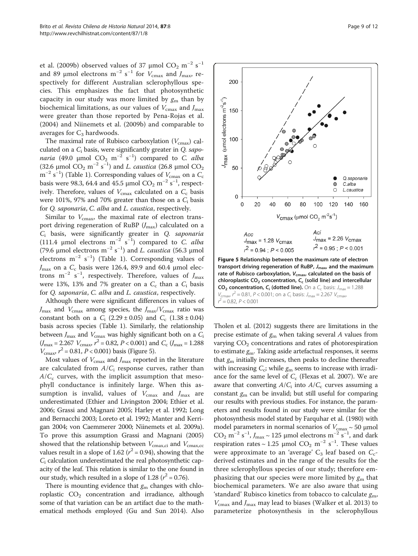et al. [\(2009b](#page-11-0)) observed values of 37 µmol  $\rm CO_2~m^{-2}~s^{-1}$ and 89 µmol electrons  $m^{-2}$  s<sup>-1</sup> for  $V_{\text{cmax}}$  and  $J_{\text{max}}$ , respectively for different Australian sclerophyllous species. This emphasizes the fact that photosynthetic capacity in our study was more limited by  $g_m$  than by biochemical limitations, as our values of  $V_{\text{cmax}}$  and  $J_{\text{max}}$ were greater than those reported by Pena-Rojas et al. ([2004\)](#page-11-0) and Niinemets et al. [\(2009b\)](#page-11-0) and comparable to averages for  $C_3$  hardwoods.

The maximal rate of Rubisco carboxylation  $(V_{\text{cmax}})$  calculated on a  $C_i$  basis, were significantly greater in  $Q$ . sapo*naria* (49.0 µmol  $CO_2$  m<sup>-2</sup> s<sup>-1</sup>) compared to *C. alba* (32.6 µmol  $CO_2$  m<sup>-2</sup> s<sup>-1</sup>) and *L. caustica* (26.8 µmol  $CO_2$  $\rm m^{-2}$  s<sup>-1</sup>) (Table [1\)](#page-6-0). Corresponding values of  $V_{\rm cmax}$  on a  $C_{\rm c}$ basis were 98.3, 64.4 and 45.5 µmol  $CO_2$  m<sup>-2</sup> s<sup>-1</sup>, respectively. Therefore, values of  $V_{\text{cmax}}$  calculated on a  $C_c$  basis were 101%, 97% and 70% greater than those on a  $C_i$  basis for Q. saponaria, C. alba and L. caustica, respectively.

Similar to  $V_{\text{cmax}}$ , the maximal rate of electron transport driving regeneration of RuBP  $(J_{\text{max}})$  calculated on a  $C_i$  basis, were significantly greater in  $Q$ . saponaria (111.4 µmol electrons m<sup>-2</sup> s<sup>-1</sup>) compared to C. alba (79.6 µmol electrons  $m^{-2}$  s<sup>-1</sup>) and *L. caustica* (56.3 µmol electrons  $m^{-2}$  s<sup>-1</sup>) (Table [1\)](#page-6-0). Corresponding values of  $J_{\text{max}}$  on a  $C_c$  basis were 126.4, 89.9 and 60.4 µmol electrons m<sup>-2</sup> s<sup>-1</sup>, respectively. Therefore, values of  $J_{\text{max}}$ were 13%, 13% and 7% greater on a  $C_c$  than a  $C_i$  basis for Q. saponaria, C. alba and L. caustica, respectively.

Although there were significant differences in values of  $J_{\text{max}}$  and  $V_{\text{cmax}}$  among species, the  $J_{\text{max}}/V_{\text{cmax}}$  ratio was constant both on a  $C_i$  (2.29 ± 0.05) and  $C_c$  (1.38 ± 0.04) basis across species (Table [1\)](#page-6-0). Similarly, the relationship between  $J_{\text{max}}$  and  $V_{\text{cmax}}$  was highly significant both on a  $C_i$  $(J_{\text{max}} = 2.267 \ V_{\text{cmax}} \ r^2 = 0.82, P < 0.001)$  and  $C_{\text{c}} \ (J_{\text{max}} = 1.288)$  $V_{\text{cmax}}$ ,  $r^2 = 0.81$ ,  $P < 0.001$ ) basis (Figure 5).

Most values of  $V_{\rm cmax}$  and  $J_{\rm max}$  reported in the literature are calculated from  $A/C<sub>i</sub>$  response curves, rather than  $A/C_c$  curves, with the implicit assumption that mesophyll conductance is infinitely large. When this assumption is invalid, values of  $V_{\text{cmax}}$  and  $J_{\text{max}}$  are underestimated (Ethier and Livingston [2004;](#page-10-0) Ethier et al. [2006;](#page-10-0) Grassi and Magnani [2005](#page-10-0); Harley et al. [1992](#page-10-0); Long and Bernacchi [2003](#page-11-0); Loreto et al. [1992;](#page-11-0) Manter and Kerrigan [2004;](#page-11-0) von Caemmerer [2000;](#page-11-0) Niinemets et al. [2009a](#page-11-0)). To prove this assumption Grassi and Magnani [\(2005](#page-10-0)) showed that the relationship between  $V_{\text{cmax,ci}}$  and  $V_{\text{cmax,cc}}$ values result in a slope of 1.62 ( $r^2$  = 0.94), showing that the  $C_i$  calculation underestimated the real photosynthetic capacity of the leaf. This relation is similar to the one found in our study, which resulted in a slope of 1.28 ( $r^2$  = 0.76).

There is mounting evidence that  $g<sub>m</sub>$  changes with chloroplastic  $CO<sub>2</sub>$  concentration and irradiance, although some of that variation can be an artifact due to the mathematical methods employed (Gu and Sun [2014\)](#page-10-0). Also



 $V_{\text{cmax}}$ ,  $r^2 = 0.81$ ,  $P < 0.001$ ; on a C<sub>i</sub> basis:  $J_{\text{max}} = 2.267 V_{\text{cmax}}$  $r^2 = 0.82$ ,  $P < 0.001$ 

Tholen et al. [\(2012\)](#page-11-0) suggests there are limitations in the precise estimate of  $g_m$  when taking several A values from varying  $CO<sub>2</sub>$  concentrations and rates of photorespiration to estimate  $g_m$ . Taking aside artefactual responses, it seems that  $g<sub>m</sub>$  initially increases, then peaks to decline thereafter with increasing  $C_c$ ; while  $g_m$  seems to increase with irradiance for the same level of  $C_c$  (Flexas et al. [2007](#page-10-0)). We are aware that converting  $A/C<sub>i</sub>$  into  $A/C<sub>c</sub>$  curves assuming a constant  $g_m$  can be invalid; but still useful for comparing our results with previous studies. For instance, the parameters and results found in our study were similar for the photosynthesis model stated by Farquhar et al. [\(1980](#page-10-0)) with model parameters in normal scenarios of  $V_{\text{cmax}} \sim 50 \text{ }\mu\text{mol}$ CO<sub>2</sub> m<sup>-2</sup> s<sup>-1</sup>,  $J_{\text{max}} \sim 125$  µmol electrons m<sup>-2</sup> s<sup>-1</sup>, and dark respiration rates ~ 1.25 µmol  $CO_2$  m<sup>-2</sup> s<sup>-1</sup>. These values were approximate to an 'average'  $C_3$  leaf based on  $C_c$ derived estimates and in the range of the results for the three sclerophyllous species of our study; therefore emphasizing that our species were more limited by  $g<sub>m</sub>$  that biochemical parameters. We are also aware that using 'standard' Rubisco kinetics from tobacco to calculate  $g_{\rm m}$ ,  $V_{\text{cmax}}$  and  $J_{\text{max}}$  may lead to biases (Walker et al. [2013](#page-11-0)) to parameterize photosynthesis in the sclerophyllous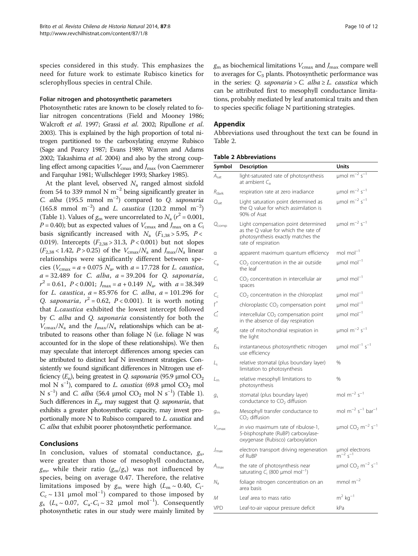species considered in this study. This emphasizes the need for future work to estimate Rubisco kinetics for sclerophyllous species in central Chile.

#### Foliar nitrogen and photosynthetic parameters

Photosynthetic rates are known to be closely related to foliar nitrogen concentrations (Field and Mooney [1986](#page-10-0); Walcroft et al. [1997](#page-11-0); Grassi et al. [2002;](#page-10-0) Ripullone et al. [2003](#page-11-0)). This is explained by the high proportion of total nitrogen partitioned to the carboxylating enzyme Rubisco (Sage and Pearcy [1987;](#page-11-0) Evans [1989](#page-10-0); Warren and Adams [2002](#page-11-0); Takashima et al. [2004](#page-11-0)) and also by the strong coupling effect among capacities  $V_{\text{cmax}}$  and  $J_{\text{max}}$  (von Caemmerer and Farquhar [1981](#page-11-0); Wullschleger [1993](#page-11-0); Sharkey [1985\)](#page-11-0).

At the plant level, observed  $N_a$  ranged almost sixfold from 54 to 339 mmol N  $m^{-2}$  being significantly greater in C. alba (195.5 mmol m<sup>-2</sup>) compared to Q. saponaria (165.8 mmol m<sup>-2</sup>) and *L. caustica* (120.2 mmol m<sup>-2</sup>) (Table [1](#page-6-0)). Values of  $g_m$  were uncorrelated to  $N_a$  ( $r^2$  = 0.001,  $P = 0.40$ ); but as expected values of  $V_{\text{cmax}}$  and  $J_{\text{max}}$  on a  $C_i$ basis significantly increased with  $N_a$  ( $F_{1,38} > 5.95$ ,  $P <$ 0.019). Intercepts  $(F_{2,38} > 31.3, P < 0.001)$  but not slopes  $(F_{2,38}$  < 1.42, P > 0.25) of the  $V_{\text{cmax}}/N_a$  and  $J_{\text{max}}/N_a$  linear relationships were significantly different between species ( $V_{\text{cmax}} = a + 0.075 N_a$ , with  $a = 17.728$  for *L. caustica*,  $a = 32.489$  for C. alba,  $a = 39.204$  for Q. saponaria,  $r^2 = 0.61$ ,  $P < 0.001$ ;  $J_{\text{max}} = a + 0.149$   $N_a$ , with  $a = 38.349$ for L. caustica,  $a = 85.976$  for C. alba,  $a = 101.296$  for Q. saponaria,  $r^2 = 0.62$ ,  $P < 0.001$ ). It is worth noting that L.caustica exhibited the lowest intercept followed by C. alba and Q. saponaria consistently for both the  $V_{\text{cmax}}/N_{\text{a}}$  and the  $J_{\text{max}}/N_{\text{a}}$  relationships which can be attributed to reasons other than foliage N (i.e. foliage N was accounted for in the slope of these relationships). We then may speculate that intercept differences among species can be attributed to distinct leaf N investment strategies. Consistently we found significant differences in Nitrogen use efficiency  $(E_n)$ , being greatest in Q. saponaria (95.9 µmol CO<sub>2</sub> mol N s<sup>-1</sup>), compared to *L. caustica* (69.8 µmol  $CO_2$  mol N s<sup>-1</sup>) and *C. alba* (56.4 µmol CO<sub>2</sub> mol N s<sup>-1</sup>) (Table [1\)](#page-6-0). Such differences in  $E_{\text{n}}$ , may suggest that *Q. saponaria*, that exhibits a greater photosynthetic capacity, may invest proportionally more N to Rubisco compared to L. caustica and C. alba that exhibit poorer photosynthetic performance.

#### Conclusions

In conclusion, values of stomatal conductance,  $g_s$ , were greater than those of mesophyll conductance,  $g_m$ , while their ratio  $(g_m/g_s)$  was not influenced by species, being on average 0.47. Therefore, the relative limitations imposed by  $g_m$  were high  $(L_m \sim 0.40, C_i$ - $C_c \sim 131$  µmol mol<sup>-1</sup>) compared to those imposed by  $g_s$  ( $L_s \sim 0.07$ ,  $C_a - C_i \sim 32$  µmol mol<sup>-1</sup>). Consequently photosynthetic rates in our study were mainly limited by  $g<sub>m</sub>$  as biochemical limitations  $V<sub>cmax</sub>$  and  $J<sub>max</sub>$  compare well to averages for  $C_3$  plants. Photosynthetic performance was in the series: Q. saponaria > C. alba  $\geq L$ . caustica which can be attributed first to mesophyll conductance limitations, probably mediated by leaf anatomical traits and then to species specific foliage N partitioning strategies.

#### Appendix

Abbreviations used throughout the text can be found in Table 2.

|  | <b>Table 2 Abbreviations</b> |
|--|------------------------------|
|--|------------------------------|

| Symbol                    | <b>Description</b>                                                                                                                       | <b>Units</b>                                              |
|---------------------------|------------------------------------------------------------------------------------------------------------------------------------------|-----------------------------------------------------------|
| $A_{\text{sat}}$          | light-saturated rate of photosynthesis<br>at ambient $C_{\rm a}$                                                                         | $\mu$ mol m $^{-2}$ s <sup>-1</sup>                       |
| $R_{\rm dark}$            | respiration rate at zero irradiance                                                                                                      | $\mu$ mol m $^{-2}$ s $^{-1}$                             |
| $Q_{\text{sat}}$          | Light saturation point determined as<br>the Q value for which assimilation is<br>90% of Asat                                             | $\mu$ mol m <sup>-2</sup> s <sup>-1</sup>                 |
| $Q_{\mathsf{comp}}$       | Light compensation point determined<br>as the Q value for which the rate of<br>photosynthesis exactly matches the<br>rate of respiration | $\mu$ mol m <sup>-2</sup> s <sup>-1</sup>                 |
| α                         | apparent maximum quantum efficiency                                                                                                      | mol mol $^{-1}$                                           |
| $C_{\rm a}$               | $CO2$ concentration in the air outside<br>the leaf                                                                                       | $\mu$ mol mol <sup>-1</sup>                               |
| C.                        | $CO2$ concentration in intercellular air<br>spaces                                                                                       | µmol mol <sup>-1</sup>                                    |
| $\mathsf{C}_{\mathsf{c}}$ | $CO2$ concentration in the chloroplast                                                                                                   | $\mu$ mol mol $^{-1}$                                     |
| $\overline{\Gamma}^*$     | chloroplastic $CO2$ compensation point                                                                                                   | $\mu$ mol mol <sup>-1</sup>                               |
| Cî                        | intercellular CO <sub>2</sub> compensation point<br>in the absence of day respiration                                                    | $\mu$ mol mol $^{-1}$                                     |
| Ŕд                        | rate of mitochondrial respiration in<br>the light                                                                                        | $\mu$ mol m $^{-2}$ s <sup>-1</sup>                       |
| EΝ                        | instantaneous photosynthetic nitrogen<br>use efficiency                                                                                  | $\mu$ mol mol <sup>-1</sup> s <sup>-1</sup>               |
| Lς                        | relative stomatal (plus boundary layer)<br>limitation to photosynthesis                                                                  | $\frac{0}{0}$                                             |
| $L_{\rm m}$               | relative mesophyll limitations to<br>photosynthesis                                                                                      | $\%$                                                      |
| $q_{\varsigma}$           | stomatal (plus boundary layer)<br>conductance to $CO2$ diffusion                                                                         | mol $m^{-2} s^{-1}$                                       |
| $g_{\rm m}$               | Mesophyll transfer conductance to<br>CO <sub>2</sub> diffusion                                                                           | mol $m^{-2}$ s <sup>-1</sup> bar <sup>-1</sup>            |
| $V_{\text{cmax}}$         | in vivo maximum rate of ribulose-1,<br>5-bisphosphate (RuBP) carboxylase-<br>oxygenase (Rubisco) carboxylation                           | $\mu$ mol CO <sub>2</sub> m <sup>-2</sup> s <sup>-1</sup> |
| $J_{\rm max}$             | electron transport driving regeneration<br>of RuBP                                                                                       | umol electrons<br>$m^{-2}$ s <sup>-1</sup>                |
| $A_{\rm max}$             | the rate of photosynthesis near<br>saturating $C_i$ (800 µmol mol <sup>-1</sup> )                                                        | $\mu$ mol CO <sub>2</sub> m <sup>-2</sup> s <sup>-1</sup> |
| $N_{\rm a}$               | foliage nitrogen concentration on an<br>area basis                                                                                       | mmol $m^{-2}$                                             |
| М                         | Leaf area to mass ratio                                                                                                                  | $m2$ kg $^{-1}$                                           |
| VPD                       | Leaf-to-air vapour pressure deficit                                                                                                      | kPa                                                       |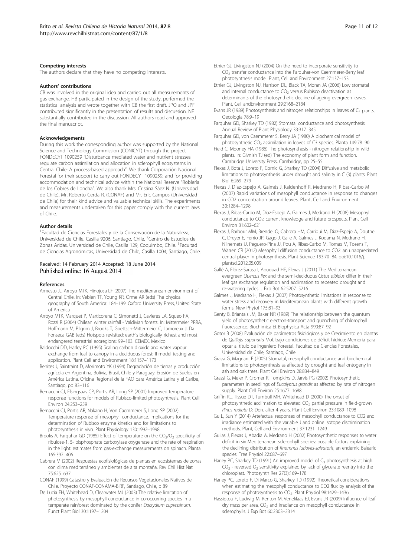#### <span id="page-10-0"></span>Competing interests

The authors declare that they have no competing interests.

#### Authors' contributions

CB was involved in the original idea and carried out all measurements of gas exchange. HB participated in the design of the study, performed the statistical analysis and wrote together with CB the first draft. JPQ and JPF contributed significantly in the presentation of results and discussion. NF substantially contributed in the discussion. All authors read and approved the final manuscript.

#### Acknowledgements

During this work the corresponding author was supported by the National Science and Technology Commission (CONICYT) through the project FONDECYT 1090259 "Disturbance mediated water and nutrient stresses regulate carbon assimilation and allocation in sclerophyll ecosystems in Central Chile: A process-based approach". We thank Corporación Nacional Forestal for their support to carry out FONDECYT 1090259, and for providing accommodation and technical advice within the National Reserve "Roblería de los Cobres de Loncha". We also thank Mrs. Cristina Sáez N. (Universidad de Chile), Mr. Roberto Cerda R. (CONAF) and Mr. Eric Campos (Universidad de Chile) for their kind advice and valuable technical skills. The experiments and measurements undertaken for this paper comply with the current laws of Chile.

#### Author details

<sup>1</sup>Facultad de Ciencias Forestales y de la Conservación de la Naturaleza, Universidad de Chile, Casilla 9206, Santiago, Chile. <sup>2</sup>Centro de Estudios de Zonas Áridas, Universidad de Chile, Casilla 129, Coquimbo, Chile. <sup>3</sup>Facultad de Ciencias Agronómicas, Universidad de Chile, Casilla 1004, Santiago, Chile.

# Received: 14 February 2014 Accepted: 18 June 2014<br>Published online: 16 August 2014

#### References

- Armesto JJ, Arroyo MTK, Hinojosa LF (2007) The mediterranean environment of Central Chile. In: Veblen TT, Young KR, Orme AR (eds) The physical geography of South America: 184–199. Oxford University Press, United State of America
- Arroyo MTK, Marquet P, Marticorena C, Simonetti J, Cavieres LA, Squeo FA, Rozzi R (2004) Chilean winter rainfall - Valdivian forests. In: Mittermeier PRRA, Hoffmann M, Pilgrim J, Brooks T, Goettsch-Mittermeier C, Lamoreux J, Da Fonseca GAB (eds) Hotspots revisited: earth's biologically richest and most endangered terrestrial ecoregions: 99–103. CEMEX, Mexico
- Baldocchi DD, Harley PC (1995) Scaling carbon dioxide and water vapour exchange from leaf to canopy in a deciduous forest: II model testing and application. Plant Cell and Environment 18:1157–1173
- Benites J, Saintraint D, Morimoto YK (1994) Degradación de tierras y producción agrícola en Argentina, Bolivia, Brasil, Chile y Paraguay: Erosión de Suelos en América Latina. Oficina Regional de la FAO para América Latina y el Caribe, Santiago, pp 83–116
- Bernacchi CJ, Elsingsaas CP, Portis AR, Long SP (2001) Improved temperature response functions for models of Rubisco-limited photosynthesis. Plant Cell Environ 24:253–259
- Bernacchi CJ, Portis AR, Nakano H, Von Caemmerer S, Long SP (2002) Temperature response of mesophyll conductance. Implications for the determination of Rubisco enzyme kinetics and for limitations to photosynthesis in vivo. Plant Physiology 130:1992–1998
- Brooks A, Farquhar GD (1985) Effect of temperature on the  $CO<sub>2</sub>/O<sub>2</sub>$  specificity of ribulose-1, 5- bisphosphate carboxylase oxygenase and the rate of respiration in the light: estimates from gas-exchange measurements on spinach. Planta 165:397–406
- Cabrera M (2002) Respuestas ecofisiológicas de plantas en ecosistemas de zonas con clima mediterráneo y ambientes de alta montaña. Rev Chil Hist Nat 75:625–637
- CONAF (1999) Catastro y Evaluación de Recursos Vegetacionales Nativos de Chile. Proyecto CONAF-CONAMA-BIRF, Santiago, Chile, p 89
- De Lucia EH, Whitehead D, Clearwater MJ (2003) The relative limitation of photosynthesis by mesophyll conductance in co-occurring species in a temperate rainforest dominated by the conifer Dacrydium cupressinum. Funct Plant Biol 30:1197–1204
- Ethier GJ, Livingston NJ (2004) On the need to incorporate sensitivity to CO<sub>2</sub> transfer conductance into the Farquhar-von Caemmerer-Berry leaf photosynthesis model. Plant, Cell and Environment 27:137–153
- Ethier GJ, Livingston NJ, Harrison DL, Black TA, Moran JA (2006) Low stomatal and internal conductance to  $CO<sub>2</sub>$  versus Rubisco deactivation as determinants of the photosynthetic decline of ageing evergreen leaves. Plant, Cell andEnvironment 29:2168–2184
- Evans JR (1989) Photosynthesis and nitrogen relationships in leaves of  $C_3$  plants. Oecologia 78:9–19
- Farquhar GD, Sharkey TD (1982) Stomatal conductance and photosynthesis. Annual Review of Plant Physiology 33:317–345
- Farquhar GD, von Caemmerer S, Berry JA (1980) A biochemical model of photosynthetic CO<sub>2</sub> assimilation in leaves of C3 species. Planta 149:78-90
- Field C, Mooney HA (1986) The photosynthesis nitrogen relationship in wild plants. In: Givnish TJ (ed) The economy of plant form and function. Cambridge University Press, Cambridge, pp 25–55
- Flexas J, Bota J, Loreto F, Cornic G, Sharkey TD (2004) Diffusive and metabolic limitations to photosynthesis under drought and salinity in C (3) plants. Plant Biol 6:269–279
- Flexas J, Díaz-Espejo A, Galmés J, Kaldenhoff R, Medrano H, Ribas-Carbo M (2007) Rapid variations of mesophyll conductance in response to changes in CO2 concentration around leaves. Plant, Cell and Environment 30:1284–1298
- Flexas J, Ribas-Carbo M, Diaz-Espejo A, Galmes J, Medrano H (2008) Mesophyll conductance to CO<sub>2</sub>: current knowledge and future prospects. Plant Cell Environ 31:602–621
- Flexas J, Barbour MM, Brendel O, Cabrera HM, Carriqui M, Diaz-Espejo A, Douthe C, Dreyer E, Ferrio JP, Gago J, Galle A, Galmes J, Kodama N, Medrano H, Niinemets U, Peguero-Pina JJ, Pou A, Ribas-Carbo M, Tomas M, Tosens T, Warren CR (2012) Mesophyll diffusion conductance to CO2: an unappreciated central player in photosynthesis. Plant Science 193:70–84, doi:10.1016/j. plantsci.2012.05.009
- Gallé A, Flórez-Sarasa I, Aououad HE, Flexas J (2011) The Mediterranean evergreen Quercus ilex and the semi-deciduous Cistus albidus differ in their leaf gas exchange regulation and acclimation to repeated drought and re-watering cycles. J Exp Bot 62:5207–5216
- Galmes J, Medrano H, Flexas J (2007) Photosynthetic limitations in response to water stress and recovery in Mediterranean plants with different growth forms. New Phytol 175:81–93
- Genty B, Briantais JM, Baker NR (1989) The relationship between the quantum yield of photosynthetic electron-transport and quenching of chlorophyll fluorescence. Biochimica Et Biophysica Acta 990:87–92
- Gotor B (2008) Evaluación de parámetros fisiológicos y de Crecimiento en plantas de Quillaja saponaria Mol. bajo condiciones de déficit hídrico: Memoria para optar al título de Ingeniero Forestal. Facultad de Ciencias Forestales, Universidad de Chile, Santiago, Chile
- Grassi G, Magnani F (2005) Stomatal, mesophyll conductance and biochemical limitations to photosynthesis as affected by drought and leaf ontogeny in ash and oak trees. Plant Cell Environ 28:834–849
- Grassi G, Meier P, Cromer R, Tompkins D, Jarvis PG (2002) Photosynthetic parameters in seedlings of Eucalyptus grandis as affected by rate of nitrogen supply. Plant Cell Environ 25:1677–1688
- Griffin KL, Tissue DT, Turnbull MH, Whitehead D (2000) The onset of photosynthetic acclimation to elevated CO<sub>2</sub> partial pressure in field-grown Pinus radiata D: Don. after 4 years. Plant Cell Environ 23:1089–1098
- Gu L, Sun Y (2014) Artefactual responses of mesophyll conductance to CO2 and irradiance estimated with the variable J and online isotope discrimination methods. Plant, Cell and Environment 37:1231–1249
- Gulias J, Flexas J, Abadia A, Medrano H (2002) Photosynthetic responses to water deficit in six Mediterranean sclerophyll species: possible factors explaining the declining distribution of Rhamnus ludovici-salvatoris, an endemic Balearic species. Tree Physiol 22:687–697
- Harley PC, Sharkey TD (1991) An improved model of  $C_3$  photosynthesis at high  $CO<sub>2</sub>$  - reversed  $O<sub>2</sub>$  sensitivity explained by lack of glycerate reentry into the chloroplast. Photosynth Res 27(3):169–178
- Harley PC, Loreto F, Di Marco G, Sharkey TD (1992) Theoretical considerations when estimating the mesophyll conductance to CO2 flux by analysis of the response of photosynthesis to CO<sub>2</sub>. Plant Physiol 98:1429-1436
- Hassiotou F, Ludwig M, Renton M, Veneklaas EJ, Evans JR (2009) Influence of leaf dry mass per area,  $CO<sub>2</sub>$  and irradiance on mesophyll conductance in sclerophylls. J Exp Bot 60:2303–2314